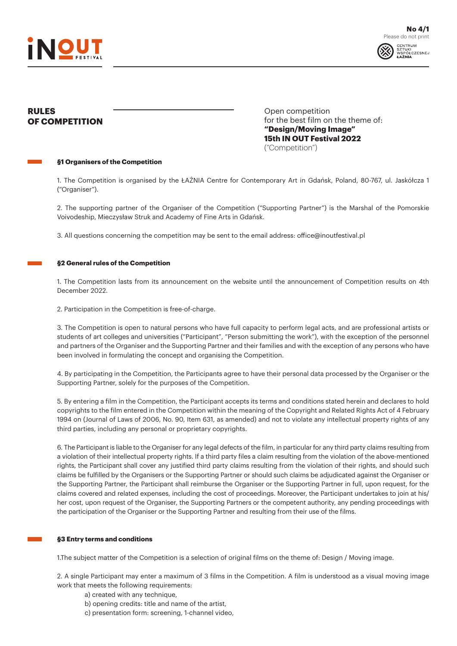



# **RULES OF COMPETITION**

Open competition for the best film on the theme of: **"Design/Moving Image" 15th IN OUT Festival 2022** ("Competition")

#### **§1 Organisers of the Competition**

1. The Competition is organised by the ŁAŹNIA Centre for Contemporary Art in Gdańsk, Poland, 80-767, ul. Jaskółcza 1 ("Organiser").

2. The supporting partner of the Organiser of the Competition ("Supporting Partner") is the Marshal of the Pomorskie Voivodeship, Mieczysław Struk and Academy of Fine Arts in Gdańsk.

3. All questions concerning the competition may be sent to the email address: office@inoutfestival.pl

## **§2 General rules of the Competition**

1. The Competition lasts from its announcement on the website until the announcement of Competition results on 4th December 2022.

2. Participation in the Competition is free-of-charge.

3. The Competition is open to natural persons who have full capacity to perform legal acts, and are professional artists or students of art colleges and universities ("Participant", "Person submitting the work"), with the exception of the personnel and partners of the Organiser and the Supporting Partner and their families and with the exception of any persons who have been involved in formulating the concept and organising the Competition.

4. By participating in the Competition, the Participants agree to have their personal data processed by the Organiser or the Supporting Partner, solely for the purposes of the Competition.

5. By entering a film in the Competition, the Participant accepts its terms and conditions stated herein and declares to hold copyrights to the film entered in the Competition within the meaning of the Copyright and Related Rights Act of 4 February 1994 on (Journal of Laws of 2006, No. 90, Item 631, as amended) and not to violate any intellectual property rights of any third parties, including any personal or proprietary copyrights.

6. The Participant is liable to the Organiser for any legal defects of the film, in particular for any third party claims resulting from a violation of their intellectual property rights. If a third party files a claim resulting from the violation of the above-mentioned rights, the Participant shall cover any justified third party claims resulting from the violation of their rights, and should such claims be fulfilled by the Organisers or the Supporting Partner or should such claims be adjudicated against the Organiser or the Supporting Partner, the Participant shall reimburse the Organiser or the Supporting Partner in full, upon request, for the claims covered and related expenses, including the cost of proceedings. Moreover, the Participant undertakes to join at his/ her cost, upon request of the Organiser, the Supporting Partners or the competent authority, any pending proceedings with the participation of the Organiser or the Supporting Partner and resulting from their use of the films.

## **§3 Entry terms and conditions**

1.The subject matter of the Competition is a selection of original films on the theme of: Design / Moving image.

2. A single Participant may enter a maximum of 3 films in the Competition. A film is understood as a visual moving image work that meets the following requirements:

- a) created with any technique,
- b) opening credits: title and name of the artist,
- c) presentation form: screening, 1-channel video,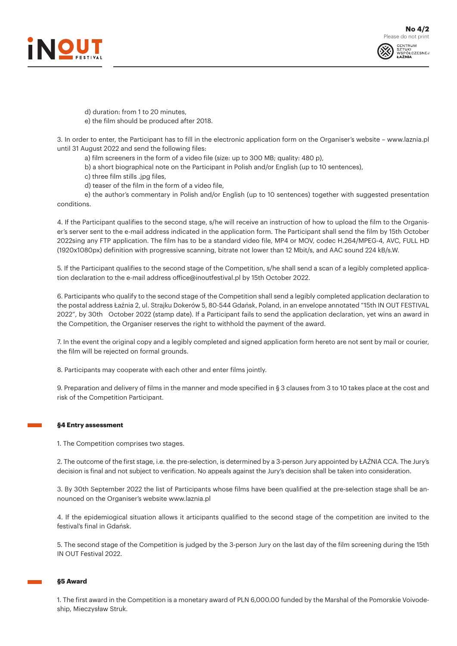



d) duration: from 1 to 20 minutes, e) the film should be produced after 2018.

3. In order to enter, the Participant has to fill in the electronic application form on the Organiser's website – www.laznia.pl until 31 August 2022 and send the following files:

- a) film screeners in the form of a video file (size: up to 300 MB; quality: 480 p),
- b) a short biographical note on the Participant in Polish and/or English (up to 10 sentences),

c) three film stills .jpg files,

d) teaser of the film in the form of a video file,

e) the author's commentary in Polish and/or English (up to 10 sentences) together with suggested presentation conditions.

4. If the Participant qualifies to the second stage, s/he will receive an instruction of how to upload the film to the Organiser's server sent to the e-mail address indicated in the application form. The Participant shall send the film by 15th October 2022sing any FTP application. The film has to be a standard video file, MP4 or MOV, codec H.264/MPEG-4, AVC, FULL HD (1920x1080px) definition with progressive scanning, bitrate not lower than 12 Mbit/s, and AAC sound 224 kB/s.W.

5. If the Participant qualifies to the second stage of the Competition, s/he shall send a scan of a legibly completed application declaration to the e-mail address office@inoutfestival.pl by 15th October 2022.

6. Participants who qualify to the second stage of the Competition shall send a legibly completed application declaration to the postal address Łaźnia 2, ul. Strajku Dokerów 5, 80-544 Gdańsk, Poland, in an envelope annotated "15th IN OUT FESTIVAL 2022", by 30th October 2022 (stamp date). If a Participant fails to send the application declaration, yet wins an award in the Competition, the Organiser reserves the right to withhold the payment of the award.

7. In the event the original copy and a legibly completed and signed application form hereto are not sent by mail or courier, the film will be rejected on formal grounds.

8. Participants may cooperate with each other and enter films jointly.

9. Preparation and delivery of films in the manner and mode specified in § 3 clauses from 3 to 10 takes place at the cost and risk of the Competition Participant.

## **§4 Entry assessment**

1. The Competition comprises two stages.

2. The outcome of the first stage, i.e. the pre-selection, is determined by a 3-person Jury appointed by ŁAŹNIA CCA. The Jury's decision is final and not subject to verification. No appeals against the Jury's decision shall be taken into consideration.

3. By 30th September 2022 the list of Participants whose films have been qualified at the pre-selection stage shall be announced on the Organiser's website www.laznia.pl

4. If the epidemiogical situation allows it articipants qualified to the second stage of the competition are invited to the festival's final in Gdańsk.

5. The second stage of the Competition is judged by the 3-person Jury on the last day of the film screening during the 15th IN OUT Festival 2022.

#### **§5 Award**

1. The first award in the Competition is a monetary award of PLN 6,000.00 funded by the Marshal of the Pomorskie Voivodeship, Mieczysław Struk.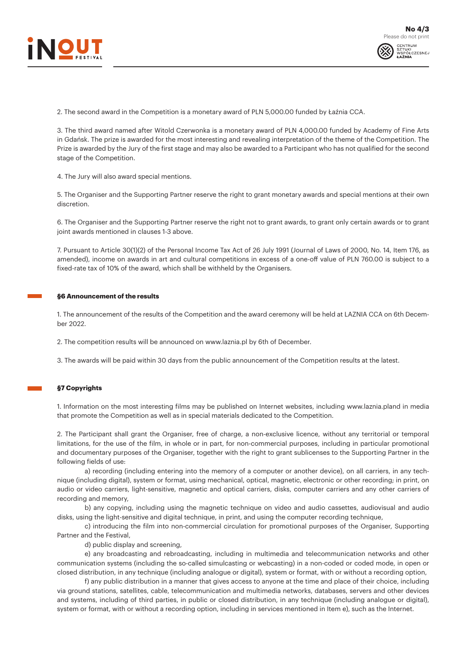



2. The second award in the Competition is a monetary award of PLN 5,000.00 funded by Łaźnia CCA.

3. The third award named after Witold Czerwonka is a monetary award of PLN 4,000.00 funded by Academy of Fine Arts in Gdańsk. The prize is awarded for the most interesting and revealing interpretation of the theme of the Competition. The Prize is awarded by the Jury of the first stage and may also be awarded to a Participant who has not qualified for the second stage of the Competition.

4. The Jury will also award special mentions.

5. The Organiser and the Supporting Partner reserve the right to grant monetary awards and special mentions at their own discretion.

6. The Organiser and the Supporting Partner reserve the right not to grant awards, to grant only certain awards or to grant joint awards mentioned in clauses 1-3 above.

7. Pursuant to Article 30(1)(2) of the Personal Income Tax Act of 26 July 1991 (Journal of Laws of 2000, No. 14, Item 176, as amended), income on awards in art and cultural competitions in excess of a one-off value of PLN 760.00 is subject to a fixed-rate tax of 10% of the award, which shall be withheld by the Organisers.

#### **§6 Announcement of the results**

1. The announcement of the results of the Competition and the award ceremony will be held at LAZNIA CCA on 6th December 2022.

2. The competition results will be announced on www.laznia.pl by 6th of December.

3. The awards will be paid within 30 days from the public announcement of the Competition results at the latest.

## **§7 Copyrights**

1. Information on the most interesting films may be published on Internet websites, including www.laznia.pland in media that promote the Competition as well as in special materials dedicated to the Competition.

2. The Participant shall grant the Organiser, free of charge, a non-exclusive licence, without any territorial or temporal limitations, for the use of the film, in whole or in part, for non-commercial purposes, including in particular promotional and documentary purposes of the Organiser, together with the right to grant sublicenses to the Supporting Partner in the following fields of use:

a) recording (including entering into the memory of a computer or another device), on all carriers, in any technique (including digital), system or format, using mechanical, optical, magnetic, electronic or other recording; in print, on audio or video carriers, light-sensitive, magnetic and optical carriers, disks, computer carriers and any other carriers of recording and memory,

b) any copying, including using the magnetic technique on video and audio cassettes, audiovisual and audio disks, using the light-sensitive and digital technique, in print, and using the computer recording technique,

c) introducing the film into non-commercial circulation for promotional purposes of the Organiser, Supporting Partner and the Festival,

d) public display and screening,

e) any broadcasting and rebroadcasting, including in multimedia and telecommunication networks and other communication systems (including the so-called simulcasting or webcasting) in a non-coded or coded mode, in open or closed distribution, in any technique (including analogue or digital), system or format, with or without a recording option,

f) any public distribution in a manner that gives access to anyone at the time and place of their choice, including via ground stations, satellites, cable, telecommunication and multimedia networks, databases, servers and other devices and systems, including of third parties, in public or closed distribution, in any technique (including analogue or digital), system or format, with or without a recording option, including in services mentioned in Item e), such as the Internet.